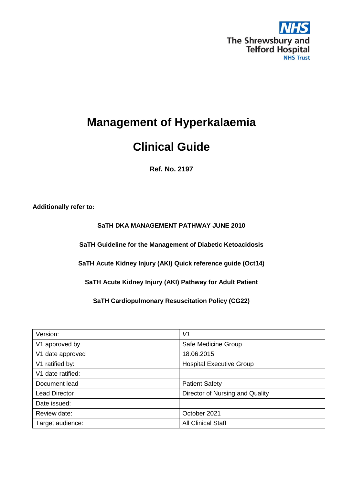

# **Clinical Guide**

**Ref. No. 2197**

**Additionally refer to:** 

## **SaTH DKA MANAGEMENT PATHWAY JUNE 2010**

**SaTH Guideline for the Management of Diabetic Ketoacidosis**

**SaTH Acute Kidney Injury (AKI) Quick reference guide (Oct14)**

**SaTH Acute Kidney Injury (AKI) Pathway for Adult Patient**

**SaTH Cardiopulmonary Resuscitation Policy (CG22)**

| Version:             | V1                              |
|----------------------|---------------------------------|
| V1 approved by       | Safe Medicine Group             |
| V1 date approved     | 18.06.2015                      |
| V1 ratified by:      | <b>Hospital Executive Group</b> |
| V1 date ratified:    |                                 |
| Document lead        | <b>Patient Safety</b>           |
| <b>Lead Director</b> | Director of Nursing and Quality |
| Date issued:         |                                 |
| Review date:         | October 2021                    |
| Target audience:     | <b>All Clinical Staff</b>       |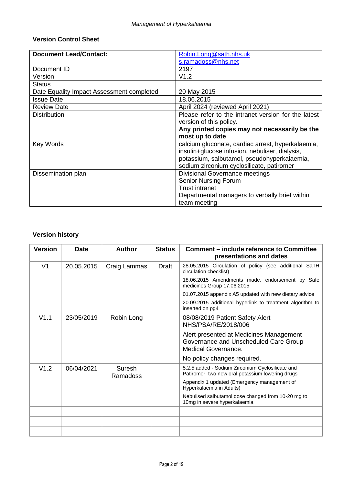# **Version Control Sheet**

| <b>Document Lead/Contact:</b>             | Robin.Long@sath.nhs.uk                              |
|-------------------------------------------|-----------------------------------------------------|
|                                           | s.ramadoss@nhs.net                                  |
| Document ID                               | 2197                                                |
| Version                                   | V1.2                                                |
| <b>Status</b>                             |                                                     |
| Date Equality Impact Assessment completed | 20 May 2015                                         |
| <b>Issue Date</b>                         | 18.06.2015                                          |
| <b>Review Date</b>                        | April 2024 (reviewed April 2021)                    |
| <b>Distribution</b>                       | Please refer to the intranet version for the latest |
|                                           | version of this policy.                             |
|                                           | Any printed copies may not necessarily be the       |
|                                           | most up to date                                     |
| <b>Key Words</b>                          | calcium gluconate, cardiac arrest, hyperkalaemia,   |
|                                           | insulin+glucose infusion, nebuliser, dialysis,      |
|                                           | potassium, salbutamol, pseudohyperkalaemia,         |
|                                           | sodium zirconium cyclosilicate, patiromer           |
| Dissemination plan                        | <b>Divisional Governance meetings</b>               |
|                                           | <b>Senior Nursing Forum</b>                         |
|                                           | <b>Trust intranet</b>                               |
|                                           | Departmental managers to verbally brief within      |
|                                           | team meeting                                        |

# **Version history**

| <b>Version</b> | <b>Date</b> | <b>Author</b>      | <b>Status</b> | <b>Comment – include reference to Committee</b><br>presentations and dates                              |
|----------------|-------------|--------------------|---------------|---------------------------------------------------------------------------------------------------------|
| V <sub>1</sub> | 20.05.2015  | Craig Lammas       | Draft         | 28.05.2015 Circulation of policy (see additional SaTH<br>circulation checklist)                         |
|                |             |                    |               | 18.06.2015 Amendments made, endorsement by Safe<br>medicines Group 17.06.2015                           |
|                |             |                    |               | 01.07.2015 appendix A5 updated with new dietary advice                                                  |
|                |             |                    |               | 20.09.2015 additional hyperlink to treatment algorithm to<br>inserted on pg4                            |
| V1.1           | 23/05/2019  | Robin Long         |               | 08/08/2019 Patient Safety Alert<br>NHS/PSA/RE/2018/006                                                  |
|                |             |                    |               | Alert presented at Medicines Management<br>Governance and Unscheduled Care Group<br>Medical Governance. |
|                |             |                    |               | No policy changes required.                                                                             |
| V1.2           | 06/04/2021  | Suresh<br>Ramadoss |               | 5.2.5 added - Sodium Zirconium Cyclosilicate and<br>Patiromer, two new oral potassium lowering drugs    |
|                |             |                    |               | Appendix 1 updated (Emergency management of<br>Hyperkalaemia in Adults)                                 |
|                |             |                    |               | Nebulised salbutamol dose changed from 10-20 mg to<br>10mg in severe hyperkalaemia                      |
|                |             |                    |               |                                                                                                         |
|                |             |                    |               |                                                                                                         |
|                |             |                    |               |                                                                                                         |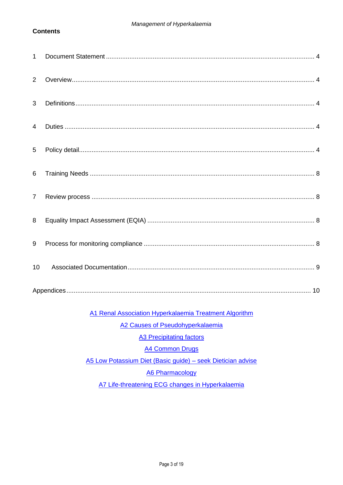### **Contents**

| $\mathbf{1}$   |  |
|----------------|--|
| 2              |  |
| 3              |  |
| $\overline{4}$ |  |
| 5              |  |
| 6              |  |
| $\overline{7}$ |  |
| 8              |  |
| 9              |  |
| 10             |  |
|                |  |

A1 Renal Association Hyperkalaemia Treatment Algorithm

A2 Causes of Pseudohyperkalaemia

**A3 Precipitating factors** 

**A4 Common Drugs** 

A5 Low Potassium Diet (Basic guide) - seek Dietician advise

**A6 Pharmacology** 

A7 Life-threatening ECG changes in Hyperkalaemia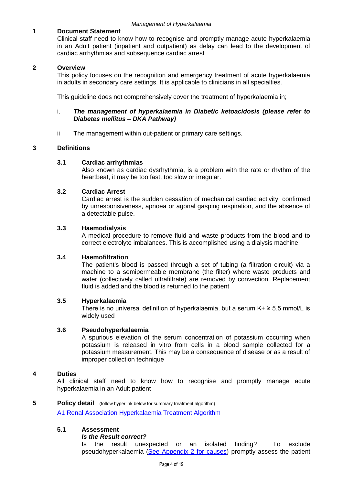### <span id="page-3-0"></span>**1 Document Statement**

Clinical staff need to know how to recognise and promptly manage acute hyperkalaemia in an Adult patient (inpatient and outpatient) as delay can lead to the development of cardiac arrhythmias and subsequence cardiac arrest

#### <span id="page-3-1"></span>**2 Overview**

This policy focuses on the recognition and emergency treatment of acute hyperkalaemia in adults in secondary care settings. It is applicable to clinicians in all specialties.

This guideline does not comprehensively cover the treatment of hyperkalaemia in;

#### i. *The management of hyperkalaemia in Diabetic ketoacidosis (please refer to Diabetes mellitus – DKA Pathway)*

ii The management within out-patient or primary care settings.

#### <span id="page-3-2"></span>**3 Definitions**

#### **3.1 Cardiac arrhythmias**

Also known as cardiac dysrhythmia, is a problem with the rate or rhythm of the heartbeat, it may be too fast, too slow or irregular.

#### **3.2 Cardiac Arrest**

Cardiac arrest is the sudden cessation of mechanical cardiac activity, confirmed by unresponsiveness, apnoea or agonal gasping respiration, and the absence of a detectable pulse.

#### **3.3 Haemodialysis**

A medical procedure to remove fluid and waste products from the blood and to correct electrolyte imbalances. This is accomplished using a dialysis machine

#### **3.4 Haemofiltration**

The patient's blood is passed through a set of tubing (a filtration circuit) via a machine to a semipermeable membrane (the filter) where waste products and water (collectively called ultrafiltrate) are removed by convection. Replacement fluid is added and the blood is returned to the patient

#### **3.5 Hyperkalaemia**

There is no universal definition of hyperkalaemia, but a serum  $K + \geq 5.5$  mmol/L is widely used

#### **3.6 Pseudohyperkalaemia**

A spurious elevation of the serum concentration of potassium occurring when potassium is released in vitro from cells in a blood sample collected for a potassium measurement. This may be a consequence of disease or as a result of improper collection technique

#### <span id="page-3-3"></span>**4 Duties**

All clinical staff need to know how to recognise and promptly manage acute hyperkalaemia in an Adult patient

#### <span id="page-3-4"></span>**5 Policy detail** (follow hyperlink below for summary treatment algorithm)

[A1 Renal Association Hyperkalaemia Treatment Algorithm](#page-10-0)

#### **5.1 Assessment**

#### *Is the Result correct?*

Is the result unexpected or an isolated finding? To exclude pseudohyperkalaemia [\(See Appendix 2 for causes\)](#page-11-0) promptly assess the patient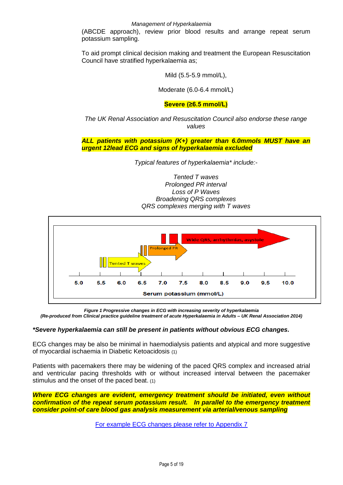(ABCDE approach), review prior blood results and arrange repeat serum potassium sampling.

To aid prompt clinical decision making and treatment the European Resuscitation Council have stratified hyperkalaemia as;

Mild (5.5-5.9 mmol/L),

Moderate (6.0-6.4 mmol/L)

### **Severe (≥6.5 mmol/L)**

*The UK Renal Association and Resuscitation Council also endorse these range values*

*ALL patients with potassium (K+) greater than 6.0mmols MUST have an urgent 12lead ECG and signs of hyperkalaemia excluded*

*Typical features of hyperkalaemia\* include:-*

*Tented T waves Prolonged PR interval Loss of P Waves Broadening QRS complexes QRS complexes merging with T waves*



*Figure 1 Progressive changes in ECG with increasing severity of hyperkalaemia (Re-produced from Clinical practice guideline treatment of acute Hyperkalaemia in Adults – UK Renal Association 2014)*

#### *\*Severe hyperkalaemia can still be present in patients without obvious ECG changes.*

ECG changes may be also be minimal in haemodialysis patients and atypical and more suggestive of myocardial ischaemia in Diabetic Ketoacidosis (1)

Patients with pacemakers there may be widening of the paced QRS complex and increased atrial and ventricular pacing thresholds with or without increased interval between the pacemaker stimulus and the onset of the paced beat. (1)

*Where ECG changes are evident, emergency treatment should be initiated, even without confirmation of the repeat serum potassium result. In parallel to the emergency treatment consider point-of care blood gas analysis measurement via arterial/venous sampling*

[For example ECG changes please refer to Appendix 7](#page-18-0)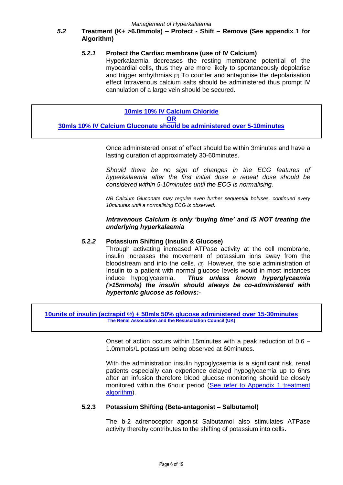### *5.2* **Treatment (K+ >6.0mmols) – Protect - Shift – Remove (See appendix 1 for Algorithm)**

#### *5.2.1* **Protect the Cardiac membrane (use of IV Calcium)**

Hyperkalaemia decreases the resting membrane potential of the myocardial cells, thus they are more likely to spontaneously depolarise and trigger arrhythmias.(2) To counter and antagonise the depolarisation effect Intravenous calcium salts should be administered thus prompt IV cannulation of a large vein should be secured.

#### **[10mls 10% IV Calcium Chloride](#page-15-0) [OR](#page-15-0)**

**[30mls 10% IV Calcium Gluconate should be administered over 5-10minutes](#page-15-0)**

Once administered onset of effect should be within 3minutes and have a lasting duration of approximately 30-60minutes.

*Should there be no sign of changes in the ECG features of hyperkalaemia after the first initial dose a repeat dose should be considered within 5-10minutes until the ECG is normalising.*

*NB Calcium Gluconate may require even further sequential boluses, continued every 10minutes until a normalising ECG is observed.*

*Intravenous Calcium is only 'buying time' and IS NOT treating the underlying hyperkalaemia* 

#### *5.2.2* **Potassium Shifting (Insulin & Glucose)**

Through activating increased ATPase activity at the cell membrane, insulin increases the movement of potassium ions away from the bloodstream and into the cells. (3) However, the sole administration of Insulin to a patient with normal glucose levels would in most instances induce hypoglycaemia. *Thus unless known hyperglycaemia (>15mmols) the insulin should always be co-administered with hypertonic glucose as follows:-*

**[10units of insulin \(actrapid ®\) + 50mls 50% glucose](#page-16-0) administered over 15-30minutes [The Renal Association and the Resuscitation Council \(UK\)](#page-16-0)**

> Onset of action occurs within 15minutes with a peak reduction of 0.6 – 1.0mmols/L potassium being observed at 60minutes.

> With the administration insulin hypoglycaemia is a significant risk, renal patients especially can experience delayed hypoglycaemia up to 6hrs after an infusion therefore blood glucose monitoring should be closely monitored within the 6hour period (See refer to Appendix 1 treatment [algorithm\)](#page-10-0).

#### **5.2.3 Potassium Shifting (Beta-antagonist – Salbutamol)**

The b-2 adrenoceptor agonist Salbutamol also stimulates ATPase activity thereby contributes to the shifting of potassium into cells.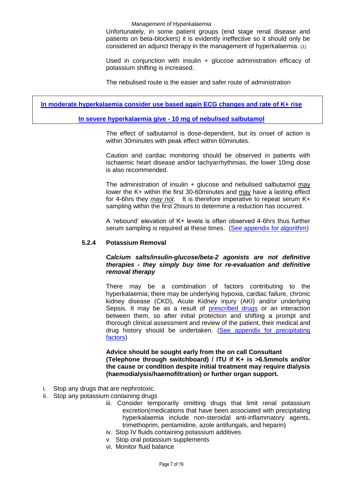Unfortunately, in some patient groups (end stage renal disease and patients on beta-blockers) it is evidently ineffective so it should only be considered an adjunct therapy in the management of hyperkalaemia. (1)

Used in conjunction with insulin + glucose administration efficacy of potassium shifting is increased.

The nebulised route is the easier and safer route of administration

**[In moderate hyperkalaemia consider use based again ECG changes and rate of K+ rise](#page-17-0)**

#### **In severe hyperkalaemia give - 10 [mg of nebulised salbutamol](#page-17-0)**

The effect of salbutamol is dose-dependent, but its onset of action is within 30minutes with peak effect within 60minutes.

Caution and cardiac monitoring should be observed in patients with ischaemic heart disease and/or tachyarrhythmias, the lower 10mg dose is also recommended.

The administration of insulin + glucose and nebulised salbutamol may lower the K+ within the first 30-60minutes and may have a lasting effect for 4-6hrs they *may not*. It is therefore imperative to repeat serum K+ sampling within the first 2hours to determine a reduction has occurred.

A 'rebound' elevation of K+ levels is often observed 4-6hrs thus further serum sampling is required at these times. (See [appendix for algorithm\)](#page-10-0)

#### **5.2.4 Potassium Removal**

#### *Calcium salts/insulin-glucose/beta-2 agonists are not definitive therapies - they simply buy time for re-evaluation and definitive removal therapy*

There may be a combination of factors contributing to the hyperkalaemia; there may be underlying hypoxia, cardiac failure, chronic kidney disease (CKD), Acute Kidney injury (AKI) and/or underlying Sepsis. It may be as a result of [prescribed drugs](#page-13-0) or an interaction between them, so after initial protection and shifting a prompt and thorough clinical assessment and review of the patient, their medical and drug history should be undertaken. (See appendix for precipitating [factors\)](#page-12-0)

**Advice should be sought early from the on call Consultant (Telephone through switchboard) / ITU if K+ is >6.5mmols and/or the cause or condition despite initial treatment may require dialysis (haemodialysis/haemofiltration) or further organ support.**

- i. Stop any drugs that are nephrotoxic.
- ii. Stop any potassium containing drugs
	- iii. Consider temporarily omitting drugs that limit renal potassium excretion(medications that have been associated with precipitating hyperkalaemia include non-steroidal anti-inflammatory agents, trimethoprim, pentamidine, azole antifungals, and heparin)
	- iv. Stop IV fluids containing potassium additives
	- v. Stop oral potassium supplements
	- vi. Monitor fluid balance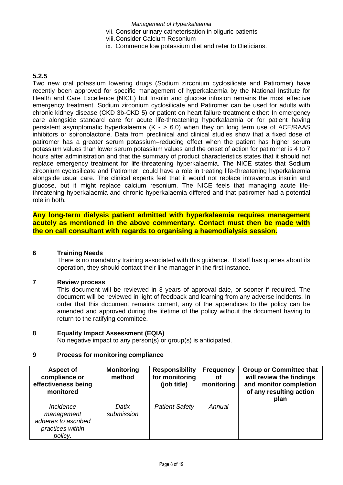- vii. Consider urinary catheterisation in oliguric patients
- viii.Consider Calcium Resonium
- ix. Commence low potassium diet and refer to Dieticians.

### **5.2.5**

Two new oral potassium lowering drugs (Sodium zirconium cyclosilicate and Patiromer) have recently been approved for specific management of hyperkalaemia by the National Institute for Health and Care Excellence (NICE) but Insulin and glucose infusion remains the most effective emergency treatment. Sodium zirconium cyclosilicate and Patiromer can be used for adults with chronic kidney disease (CKD 3b-CKD 5) or patient on heart failure treatment either: In emergency care alongside standard care for acute life-threatening hyperkalaemia or for patient having persistent asymptomatic hyperkalaemia  $(K - 500)$  when they on long term use of ACE/RAAS inhibitors or spironolactone. Data from preclinical and clinical studies show that a fixed dose of patiromer has a greater serum potassium–reducing effect when the patient has higher serum potassium values than lower serum potassium values and the onset of action for patiromer is 4 to 7 hours after administration and that the summary of product characteristics states that it should not replace emergency treatment for life-threatening hyperkalaemia. The NICE states that Sodium zirconium cyclosilicate and Patiromer could have a role in treating life-threatening hyperkalaemia alongside usual care. The clinical experts feel that it would not replace intravenous insulin and glucose, but it might replace calcium resonium. The NICE feels that managing acute lifethreatening hyperkalaemia and chronic hyperkalaemia differed and that patiromer had a potential role in both.

**Any long-term dialysis patient admitted with hyperkalaemia requires management acutely as mentioned in the above commentary. Contact must then be made with the on call consultant with regards to organising a haemodialysis session.**

#### <span id="page-7-0"></span>**6 Training Needs**

There is no mandatory training associated with this guidance. If staff has queries about its operation, they should contact their line manager in the first instance.

#### <span id="page-7-1"></span>**7 Review process**

This document will be reviewed in 3 years of approval date, or sooner if required. The document will be reviewed in light of feedback and learning from any adverse incidents. In order that this document remains current, any of the appendices to the policy can be amended and approved during the lifetime of the policy without the document having to return to the ratifying committee.

#### <span id="page-7-2"></span>**8 Equality Impact Assessment (EQIA)**

No negative impact to any person(s) or group(s) is anticipated.

#### <span id="page-7-3"></span>**9 Process for monitoring compliance**

| <b>Aspect of</b><br>compliance or<br>effectiveness being<br>monitored                | <b>Monitoring</b><br>method | <b>Responsibility</b><br>for monitoring<br>(job title) | <b>Frequency</b><br>οf<br>monitoring | <b>Group or Committee that</b><br>will review the findings<br>and monitor completion<br>of any resulting action<br>plan |
|--------------------------------------------------------------------------------------|-----------------------------|--------------------------------------------------------|--------------------------------------|-------------------------------------------------------------------------------------------------------------------------|
| <i>Incidence</i><br>management<br>adheres to ascribed<br>practices within<br>policy. | Datix<br>submission         | <b>Patient Safety</b>                                  | Annual                               |                                                                                                                         |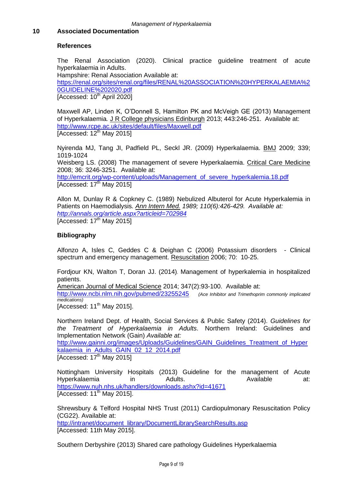#### <span id="page-8-0"></span>**10 Associated Documentation**

#### **References**

The Renal Association (2020). Clinical practice guideline treatment of acute hyperkalaemia in Adults.

Hampshire: Renal Association Available at: [https://renal.org/sites/renal.org/files/RENAL%20ASSOCIATION%20HYPERKALAEMIA%2](https://renal.org/sites/renal.org/files/RENAL%20ASSOCIATION%20HYPERKALAEMIA%20GUIDELINE%202020.pdf) [0GUIDELINE%202020.pdf](https://renal.org/sites/renal.org/files/RENAL%20ASSOCIATION%20HYPERKALAEMIA%20GUIDELINE%202020.pdf)  $[Accessed: 10<sup>th</sup> April 2020]$ 

Maxwell AP, Linden K, O'Donnell S, Hamilton PK and McVeigh GE (2013) Management of Hyperkalaemia*.* J R College physicians Edinburgh 2013; 443:246-251. Available at: <http://www.rcpe.ac.uk/sites/default/files/Maxwell.pdf>  $[Accessed: 12<sup>th</sup> May 2015]$ 

Nyirenda MJ, Tang JI, Padfield PL, Seckl JR. (2009) Hyperkalaemia. BMJ 2009; 339; 1019-1024 Weisberg LS. (2008) The management of severe Hyperkalaemia. Critical Care Medicine 2008; 36: 3246-3251. Available at: [http://emcrit.org/wp-content/uploads/Management\\_of\\_severe\\_hyperkalemia.18.pdf](http://emcrit.org/wp-content/uploads/Management_of_severe_hyperkalemia.18.pdf) [Accessed:  $17<sup>th</sup>$  May 2015]

Allon M, Dunlay R & Copkney C. (1989) Nebulized Albuterol for Acute Hyperkalemia in Patients on Haemodialysis*. Ann Intern Med. 1989; 110(6):426-429. Available at: <http://annals.org/article.aspx?articleid=702984>* [Accessed:  $17<sup>th</sup>$  May 2015]

#### **Bibliography**

Alfonzo A, Isles C, Geddes C & Deighan C (2006) Potassium disorders - Clinical spectrum and emergency management. Resuscitation 2006; 70: 10-25.

Fordjour KN, Walton T, Doran JJ. (2014). Management of hyperkalemia in hospitalized patients.

American Journal of Medical Science 2014; 347(2):93-100. Available at:

<http://www.ncbi.nlm.nih.gov/pubmed/23255245>*(Ace Inhibitor and Trimethoprim commonly implicated medications)*

[Accessed: 11<sup>th</sup> May 2015].

Northern Ireland Dept. of Health, Social Services & Public Safety (2014). *Guidelines for the Treatment of Hyperkalaemia in Adults.* Northern Ireland: Guidelines and Implementation Network (Gain) *Available at:*

[http://www.gainni.org/images/Uploads/Guidelines/GAIN\\_Guidelines\\_Treatment\\_of\\_Hyper](http://www.gainni.org/images/Uploads/Guidelines/GAIN_Guidelines_Treatment_of_Hyperkalaemia_in_Adults_GAIN_02_12_2014.pdf) kalaemia in Adults GAIN 02 12 2014.pdf

[Accessed:  $17<sup>th</sup>$  May 2015]

Nottingham University Hospitals (2013) Guideline for the management of Acute Hyperkalaemia in Adults. Available at: <https://www.nuh.nhs.uk/handlers/downloads.ashx?id=41671>  $[Accessed: 11<sup>th</sup> May 2015]$ .

Shrewsbury & Telford Hospital NHS Trust (2011) Cardiopulmonary Resuscitation Policy (CG22). Available at: [http://intranet/document\\_library/DocumentLibrarySearchResults.asp](http://intranet/document_library/DocumentLibrarySearchResults.asp) [Accessed: 11th May 2015].

Southern Derbyshire (2013) Shared care pathology Guidelines Hyperkalaemia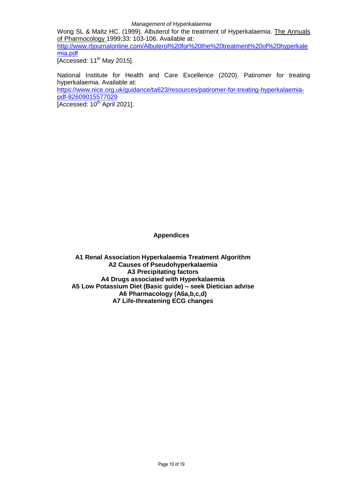Wong SL & Maltz HC. (1999). Albuterol for the treatment of Hyperkalaemia. The Annuals of Pharmocology 1999;33: 103-106. Available at:

[http://www.rtjournalonline.com/Albuterol%20for%20the%20treatment%20of%20hyperkale](http://www.rtjournalonline.com/Albuterol%20for%20the%20treatment%20of%20hyperkalemia.pdf) [mia.pdf](http://www.rtjournalonline.com/Albuterol%20for%20the%20treatment%20of%20hyperkalemia.pdf)

 $\overline{I$ Accessed: 11<sup>th</sup> May 2015].

National Institute for Health and Care Excellence (2020). Patiromer for treating hyperkalaemia. Available at:

[https://www.nice.org.uk/guidance/ta623/resources/patiromer-for-treating-hyperkalaemia](https://www.nice.org.uk/guidance/ta623/resources/patiromer-for-treating-hyperkalaemia-pdf-82609015577029)[pdf-82609015577029](https://www.nice.org.uk/guidance/ta623/resources/patiromer-for-treating-hyperkalaemia-pdf-82609015577029)

 $ACcessed: 10<sup>th</sup>$  April 2021].

#### **Appendices**

<span id="page-9-0"></span>**A1 Renal Association Hyperkalaemia Treatment Algorithm A2 Causes of Pseudohyperkalaemia A3 Precipitating factors A4 Drugs associated with Hyperkalaemia A5 Low Potassium Diet (Basic guide) – seek Dietician advise A6 Pharmacology (A6a,b,c,d) A7 Life-threatening ECG changes**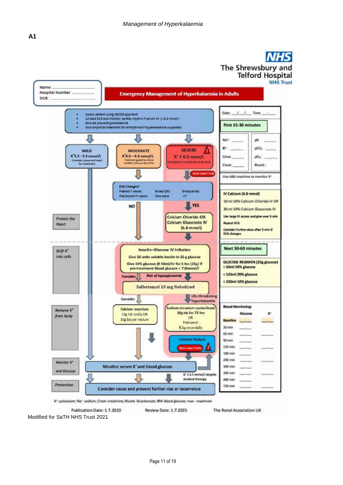<span id="page-10-0"></span>

Modified for SaTH NHS Trust 2021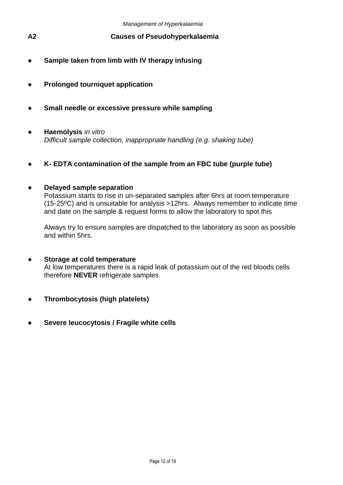- <span id="page-11-0"></span>**A2 Causes of Pseudohyperkalaemia**
- **Sample taken from limb with IV therapy infusing**
- **Prolonged tourniquet application**
- **● Small needle or excessive pressure while sampling**
- **Haemolysis** *in vitro Difficult sample collection, inappropriate handling (e.g. shaking tube)*
- **K- EDTA contamination of the sample from an FBC tube (purple tube)**

# **● Delayed sample separation**

Potassium starts to rise in un-separated samples after 6hrs at room temperature (15-25ºC) and is unsuitable for analysis >12hrs. Always remember to indicate time and date on the sample & request forms to allow the laboratory to spot this

Always try to ensure samples are dispatched to the laboratory as soon as possible and within 5hrs.

- **Storage at cold temperature**  At low temperatures there is a rapid leak of potassium out of the red bloods cells therefore **NEVER** refrigerate samples
- **Thrombocytosis (high platelets)**
- **Severe leucocytosis / Fragile white cells**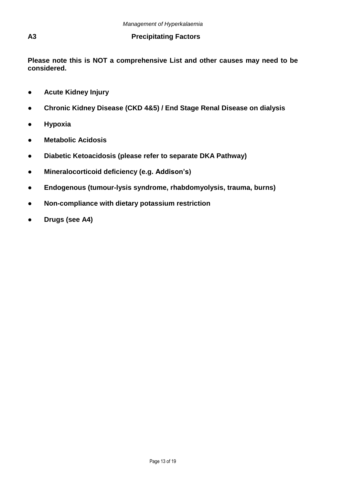## <span id="page-12-0"></span>**A3 Precipitating Factors**

**Please note this is NOT a comprehensive List and other causes may need to be considered.**

- **Acute Kidney Injury**
- **Chronic Kidney Disease (CKD 4&5) / End Stage Renal Disease on dialysis**
- **Hypoxia**
- **Metabolic Acidosis**
- **Diabetic Ketoacidosis (please refer to separate DKA Pathway)**
- **Mineralocorticoid deficiency (e.g. Addison's)**
- **● Endogenous (tumour-lysis syndrome, rhabdomyolysis, trauma, burns)**
- **● Non-compliance with dietary potassium restriction**
- **Drugs (see A4)**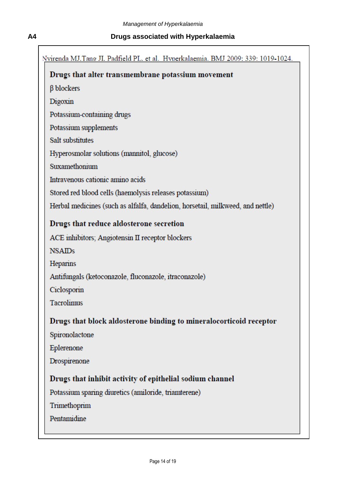# <span id="page-13-0"></span>**A4 Drugs associated with Hyperkalaemia**

| Nvirenda MJ.Tang JI. Padfield PL. et al. Hvoerkalaemia. BMJ 2009: 339: 1019-1024. |
|-----------------------------------------------------------------------------------|
| Drugs that alter transmembrane potassium movement                                 |
| $\beta$ blockers                                                                  |
| Digoxin                                                                           |
| Potassium-containing drugs                                                        |
| Potassium supplements                                                             |
| Salt substitutes                                                                  |
| Hyperosmolar solutions (mannitol, glucose)                                        |
| Suxamethonium                                                                     |
| Intravenous cationic amino acids                                                  |
| Stored red blood cells (haemolysis releases potassium)                            |
| Herbal medicines (such as alfalfa, dandelion, horsetail, milkweed, and nettle)    |
| Drugs that reduce aldosterone secretion                                           |
| ACE inhibitors; Angiotensin II receptor blockers                                  |
| <b>NSAIDs</b>                                                                     |
| Heparins                                                                          |
| Antifungals (ketoconazole, fluconazole, itraconazole)                             |
| Ciclosporin                                                                       |
| Tacrolimus                                                                        |
| Drugs that block aldosterone binding to mineralocorticoid receptor                |
| Spironolactone                                                                    |
| Eplerenone                                                                        |
| Drospirenone                                                                      |
| Drugs that inhibit activity of epithelial sodium channel                          |
| Potassium sparing diuretics (amiloride, triamterene)                              |
| Trimethoprim                                                                      |
| Pentamidine                                                                       |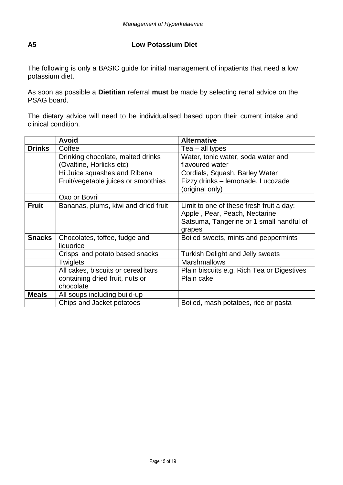# <span id="page-14-0"></span>**A5 Low Potassium Diet**

The following is only a BASIC guide for initial management of inpatients that need a low potassium diet.

As soon as possible a **Dietitian** referral **must** be made by selecting renal advice on the PSAG board.

The dietary advice will need to be individualised based upon their current intake and clinical condition.

|               | <b>Avoid</b>                         | <b>Alternative</b>                         |
|---------------|--------------------------------------|--------------------------------------------|
| <b>Drinks</b> | Coffee                               | $Tea$ – all types                          |
|               | Drinking chocolate, malted drinks    | Water, tonic water, soda water and         |
|               | (Ovaltine, Horlicks etc)             | flavoured water                            |
|               | Hi Juice squashes and Ribena         | Cordials, Squash, Barley Water             |
|               | Fruit/vegetable juices or smoothies  | Fizzy drinks - lemonade, Lucozade          |
|               |                                      | (original only)                            |
|               | Oxo or Bovril                        |                                            |
| <b>Fruit</b>  | Bananas, plums, kiwi and dried fruit | Limit to one of these fresh fruit a day:   |
|               |                                      | Apple, Pear, Peach, Nectarine              |
|               |                                      | Satsuma, Tangerine or 1 small handful of   |
|               |                                      | grapes                                     |
| <b>Snacks</b> | Chocolates, toffee, fudge and        | Boiled sweets, mints and peppermints       |
|               | liquorice                            |                                            |
|               | Crisps and potato based snacks       | <b>Turkish Delight and Jelly sweets</b>    |
|               | <b>Twiglets</b>                      | <b>Marshmallows</b>                        |
|               | All cakes, biscuits or cereal bars   | Plain biscuits e.g. Rich Tea or Digestives |
|               | containing dried fruit, nuts or      | Plain cake                                 |
|               | chocolate                            |                                            |
| <b>Meals</b>  | All soups including build-up         |                                            |
|               | Chips and Jacket potatoes            | Boiled, mash potatoes, rice or pasta       |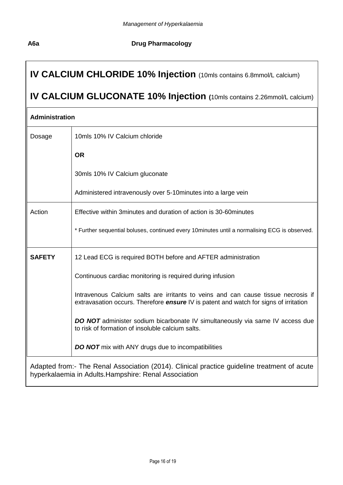# **A6a Drug Pharmacology**

# <span id="page-15-0"></span>**IV CALCIUM CHLORIDE 10% Injection** (10mls contains 6.8mmol/L calcium)

# **IV CALCIUM GLUCONATE 10% Injection (**10mls contains 2.26mmol/L calcium)

| Administration |                                                                                                                                                                                   |  |
|----------------|-----------------------------------------------------------------------------------------------------------------------------------------------------------------------------------|--|
| Dosage         | 10mls 10% IV Calcium chloride                                                                                                                                                     |  |
|                | <b>OR</b>                                                                                                                                                                         |  |
|                | 30mls 10% IV Calcium gluconate                                                                                                                                                    |  |
|                | Administered intravenously over 5-10 minutes into a large vein                                                                                                                    |  |
| Action         | Effective within 3 minutes and duration of action is 30-60 minutes                                                                                                                |  |
|                | * Further sequential boluses, continued every 10minutes until a normalising ECG is observed.                                                                                      |  |
| <b>SAFETY</b>  | 12 Lead ECG is required BOTH before and AFTER administration                                                                                                                      |  |
|                | Continuous cardiac monitoring is required during infusion                                                                                                                         |  |
|                | Intravenous Calcium salts are irritants to veins and can cause tissue necrosis if<br>extravasation occurs. Therefore <b>ensure</b> IV is patent and watch for signs of irritation |  |
|                | <b>DO NOT</b> administer sodium bicarbonate IV simultaneously via same IV access due<br>to risk of formation of insoluble calcium salts.                                          |  |
|                | <b>DO NOT</b> mix with ANY drugs due to incompatibilities                                                                                                                         |  |
|                | Adapted from:- The Renal Association (2014). Clinical practice guideline treatment of acute<br>hyperkalaemia in Adults. Hampshire: Renal Association                              |  |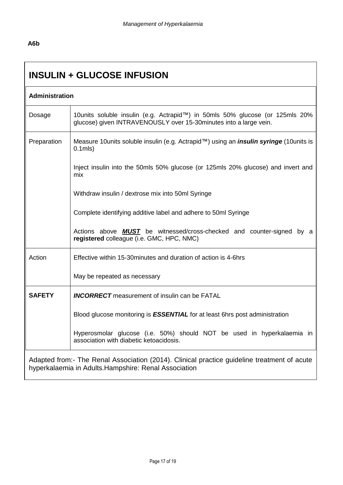# **A6b**

# <span id="page-16-0"></span>**INSULIN + GLUCOSE INFUSION**

| Administration                                                                              |                                                                                                                                                   |  |  |
|---------------------------------------------------------------------------------------------|---------------------------------------------------------------------------------------------------------------------------------------------------|--|--|
| Dosage                                                                                      | 10units soluble insulin (e.g. Actrapid™) in 50mls 50% glucose (or 125mls 20%<br>glucose) given INTRAVENOUSLY over 15-30minutes into a large vein. |  |  |
| Preparation                                                                                 | Measure 10 units soluble insulin (e.g. Actrapid™) using an <i>insulin syringe</i> (10 units is<br>$0.1$ mls $)$                                   |  |  |
|                                                                                             | Inject insulin into the 50mls 50% glucose (or 125mls 20% glucose) and invert and<br>mix                                                           |  |  |
|                                                                                             | Withdraw insulin / dextrose mix into 50ml Syringe                                                                                                 |  |  |
|                                                                                             | Complete identifying additive label and adhere to 50ml Syringe                                                                                    |  |  |
|                                                                                             | Actions above <b>MUST</b> be witnessed/cross-checked and counter-signed by a<br>registered colleague (i.e. GMC, HPC, NMC)                         |  |  |
| Action                                                                                      | Effective within 15-30 minutes and duration of action is 4-6hrs                                                                                   |  |  |
|                                                                                             | May be repeated as necessary                                                                                                                      |  |  |
| <b>SAFETY</b>                                                                               | <b>INCORRECT</b> measurement of insulin can be FATAL                                                                                              |  |  |
|                                                                                             | Blood glucose monitoring is <b>ESSENTIAL</b> for at least 6hrs post administration                                                                |  |  |
|                                                                                             | Hyperosmolar glucose (i.e. 50%) should NOT be used in hyperkalaemia in<br>association with diabetic ketoacidosis.                                 |  |  |
| Adapted from:- The Renal Association (2014). Clinical practice guideline treatment of acute |                                                                                                                                                   |  |  |

hyperkalaemia in Adults.Hampshire: Renal Association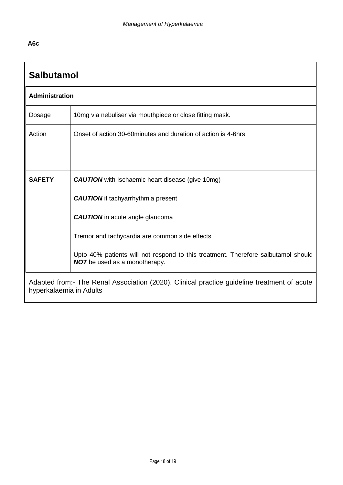# **A6c**

<span id="page-17-0"></span>

| <b>Salbutamol</b>                                                                                                      |                                                                                                                           |  |  |  |
|------------------------------------------------------------------------------------------------------------------------|---------------------------------------------------------------------------------------------------------------------------|--|--|--|
|                                                                                                                        | <b>Administration</b>                                                                                                     |  |  |  |
| Dosage                                                                                                                 | 10mg via nebuliser via mouthpiece or close fitting mask.                                                                  |  |  |  |
| Action                                                                                                                 | Onset of action 30-60 minutes and duration of action is 4-6 hrs                                                           |  |  |  |
|                                                                                                                        |                                                                                                                           |  |  |  |
|                                                                                                                        |                                                                                                                           |  |  |  |
| <b>SAFETY</b>                                                                                                          | <b>CAUTION</b> with Ischaemic heart disease (give 10mg)                                                                   |  |  |  |
|                                                                                                                        | <b>CAUTION</b> if tachyarrhythmia present                                                                                 |  |  |  |
|                                                                                                                        | <b>CAUTION</b> in acute angle glaucoma                                                                                    |  |  |  |
|                                                                                                                        | Tremor and tachycardia are common side effects                                                                            |  |  |  |
|                                                                                                                        | Upto 40% patients will not respond to this treatment. Therefore salbutamol should<br><b>NOT</b> be used as a monotherapy. |  |  |  |
| Adapted from:- The Renal Association (2020). Clinical practice guideline treatment of acute<br>hyperkalaemia in Adults |                                                                                                                           |  |  |  |